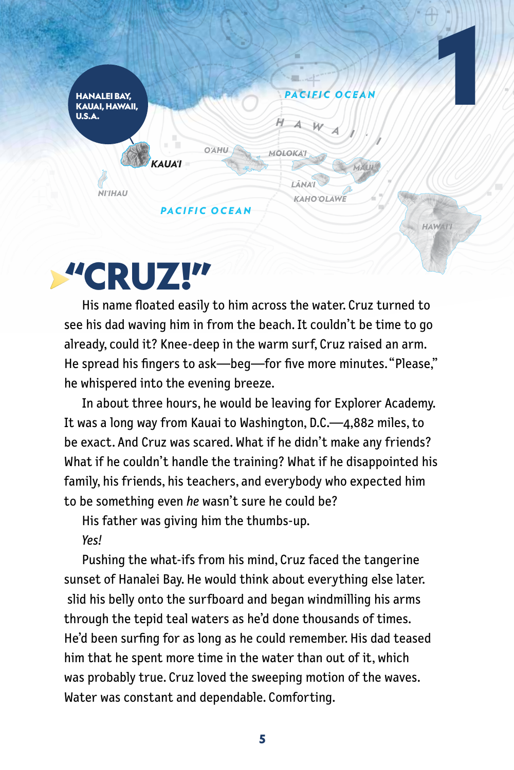

## "CRUZ!"

His name floated easily to him across the water. Cruz turned to see his dad waving him in from the beach. It couldn't be time to go already, could it? Knee-deep in the warm surf, Cruz raised an arm. He spread his fingers to ask—beg—for five more minutes. "Please," he whispered into the evening breeze.

In about three hours, he would be leaving for Explorer Academy. It was a long way from Kauai to Washington, D.C.—4,882 miles, to be exact. And Cruz was scared. What if he didn't make any friends? What if he couldn't handle the training? What if he disappointed his family, his friends, his teachers, and everybody who expected him to be something even *he* wasn't sure he could be?

His father was giving him the thumbs-up. *Yes!* 

Pushing the what-ifs from his mind, Cruz faced the tangerine sunset of Hanalei Bay. He would think about everything else later. slid his belly onto the surfboard and began windmilling his arms through the tepid teal waters as he'd done thousands of times. He'd been surfing for as long as he could remember. His dad teased him that he spent more time in the water than out of it, which was probably true. Cruz loved the sweeping motion of the waves. Water was constant and dependable. Comforting.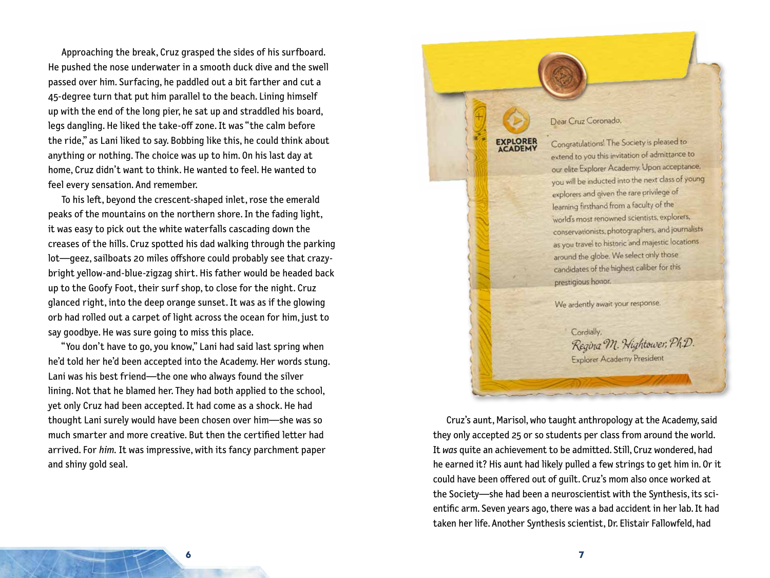Approaching the break, Cruz grasped the sides of his surfboard. He pushed the nose underwater in a smooth duck dive and the swell passed over him. Surfacing, he paddled out a bit farther and cut a 45-degree turn that put him parallel to the beach. Lining himself up with the end of the long pier, he sat up and straddled his board, legs dangling. He liked the take-off zone. It was "the calm before the ride," as Lani liked to say. Bobbing like this, he could think about anything or nothing. The choice was up to him. On his last day at home, Cruz didn't want to think. He wanted to feel. He wanted to feel every sensation. And remember.

To his left, beyond the crescent-shaped inlet, rose the emerald peaks of the mountains on the northern shore. In the fading light, it was easy to pick out the white waterfalls cascading down the creases of the hills. Cruz spotted his dad walking through the parking lot—geez, sailboats 20 miles offshore could probably see that crazybright yellow-and-blue-zigzag shirt. His father would be headed back up to the Goofy Foot, their surf shop, to close for the night. Cruz glanced right, into the deep orange sunset. It was as if the glowing orb had rolled out a carpet of light across the ocean for him, just to say goodbye. He was sure going to miss this place.

"You don't have to go, you know," Lani had said last spring when he'd told her he'd been accepted into the Academy. Her words stung. Lani was his best friend—the one who always found the silver lining. Not that he blamed her. They had both applied to the school, yet only Cruz had been accepted. It had come as a shock. He had thought Lani surely would have been chosen over him—she was so much smarter and more creative. But then the certified letter had arrived. For *him.* It was impressive, with its fancy parchment paper and shiny gold seal.

## Dear Cruz Coronado,

**PLOREF** 

Congratulations! The Society is pleased to extend to you this invitation of admittance to our elite Explorer Academy. Upon acceptance, you will be inducted into the next class of young explorers and given the rare privilege of learning firsthand from a faculty of the world's most renowned scientists, explorers, conservationists, photographers, and journalists as you travel to historic and majestic locations around the globe. We select only those candidates of the highest caliber for this prestigious honor.

We ardently await your response.

Cordially. Reging M. Hightower, Ph.D. **Explorer Academy President** 

Cruz's aunt, Marisol, who taught anthropology at the Academy, said they only accepted 25 or so students per class from around the world. It *was* quite an achievement to be admitted. Still, Cruz wondered, had he earned it? His aunt had likely pulled a few strings to get him in. Or it could have been offered out of guilt. Cruz's mom also once worked at the Society—she had been a neuroscientist with the Synthesis, its scientific arm. Seven years ago, there was a bad accident in her lab. It had taken her life. Another Synthesis scientist, Dr. Elistair Fallowfeld, had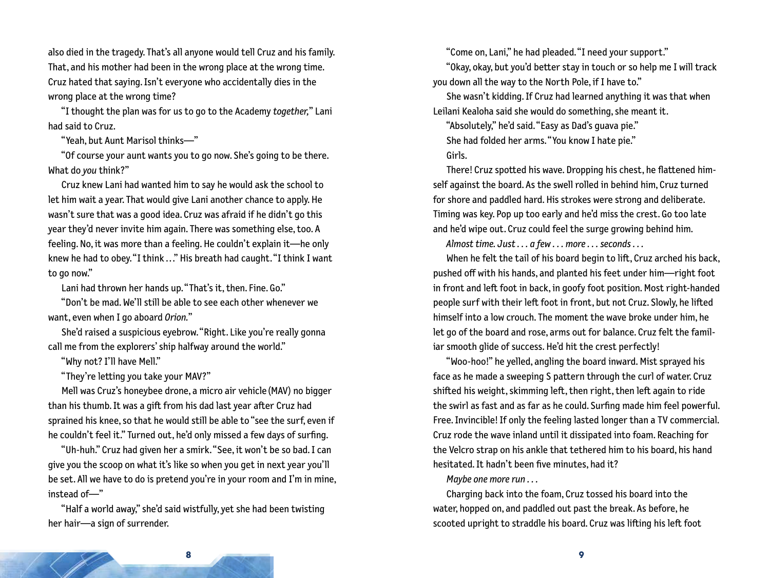also died in the tragedy. That's all anyone would tell Cruz and his family. That, and his mother had been in the wrong place at the wrong time. Cruz hated that saying. Isn't everyone who accidentally dies in the wrong place at the wrong time?

"I thought the plan was for us to go to the Academy *together,*" Lani had said to Cruz.

"Yeah, but Aunt Marisol thinks—"

"Of course your aunt wants you to go now. She's going to be there. What do *you* think?"

Cruz knew Lani had wanted him to say he would ask the school to let him wait a year. That would give Lani another chance to apply. He wasn't sure that was a good idea. Cruz was afraid if he didn't go this year they'd never invite him again. There was something else, too. A feeling. No, it was more than a feeling. He couldn't explain it—he only knew he had to obey. "I think ..." His breath had caught. "I think I want to go now."

Lani had thrown her hands up. "That's it, then. Fine. Go."

"Don't be mad. We'll still be able to see each other whenever we want, even when I go aboard *Orion.*"

She'd raised a suspicious eyebrow. "Right. Like you're really gonna call me from the explorers' ship halfway around the world."

"Why not? I'll have Mell."

"They're letting you take your MAV?"

Mell was Cruz's honeybee drone, a micro air vehicle (MAV) no bigger than his thumb. It was a gift from his dad last year after Cruz had sprained his knee, so that he would still be able to "see the surf, even if he couldn't feel it." Turned out, he'd only missed a few days of surfing.

"Uh-huh." Cruz had given her a smirk. "See, it won't be so bad. I can give you the scoop on what it's like so when you get in next year you'll be set. All we have to do is pretend you're in your room and I'm in mine, instead of—"

"Half a world away," she'd said wistfully, yet she had been twisting her hair—a sign of surrender.

"Come on, Lani," he had pleaded. "I need your support."

"Okay, okay, but you'd better stay in touch or so help me I will track you down all the way to the North Pole, if I have to."

She wasn't kidding. If Cruz had learned anything it was that when Leilani Kealoha said she would do something, she meant it.

"Absolutely," he'd said. "Easy as Dad's guava pie." She had folded her arms. "You know I hate pie." Girls.

There! Cruz spotted his wave. Dropping his chest, he flattened himself against the board. As the swell rolled in behind him, Cruz turned for shore and paddled hard. His strokes were strong and deliberate. Timing was key. Pop up too early and he'd miss the crest. Go too late and he'd wipe out. Cruz could feel the surge growing behind him.

*Almost time. Just . . . a few . . . more . . . seconds . . .*

When he felt the tail of his board begin to lift, Cruz arched his back, pushed off with his hands, and planted his feet under him—right foot in front and left foot in back, in goofy foot position. Most right-handed people surf with their left foot in front, but not Cruz. Slowly, he lifted himself into a low crouch. The moment the wave broke under him, he let go of the board and rose, arms out for balance. Cruz felt the familiar smooth glide of success. He'd hit the crest perfectly!

"Woo-hoo!" he yelled, angling the board inward. Mist sprayed his face as he made a sweeping S pattern through the curl of water. Cruz shifted his weight, skimming left, then right, then left again to ride the swirl as fast and as far as he could. Surfing made him feel powerful. Free. Invincible! If only the feeling lasted longer than a TV commercial. Cruz rode the wave inland until it dissipated into foam. Reaching for the Velcro strap on his ankle that tethered him to his board, his hand hesitated. It hadn't been five minutes, had it?

## *Maybe one more run . . .*

Charging back into the foam, Cruz tossed his board into the water, hopped on, and paddled out past the break. As before, he scooted upright to straddle his board. Cruz was lifting his left foot

8 9 9 9 9 9 9 9 10 11 12 13 14 15 16 17 17 18 18 19 19 10 11 12 13 14 15 16 17 17 17 17 17 17 17 17 17 17 17 1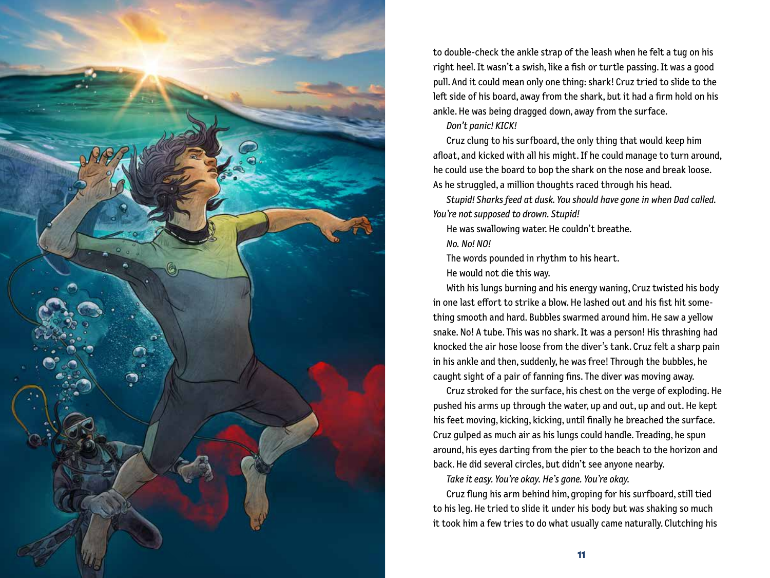

to double-check the ankle strap of the leash when he felt a tug on his right heel. It wasn't a swish, like a fish or turtle passing. It was a good pull. And it could mean only one thing: shark! Cruz tried to slide to the left side of his board, away from the shark, but it had a firm hold on his ankle. He was being dragged down, away from the surface.

*Don't panic! KICK!*

Cruz clung to his surfboard, the only thing that would keep him afloat, and kicked with all his might. If he could manage to turn around, he could use the board to bop the shark on the nose and break loose. As he struggled, a million thoughts raced through his head.

*Stupid! Sharks feed at dusk. You should have gone in when Dad called. You're not supposed to drown. Stupid!*

He was swallowing water. He couldn't breathe. *No. No! NO!*

The words pounded in rhythm to his heart.

He would not die this way.

With his lungs burning and his energy waning, Cruz twisted his body in one last effort to strike a blow. He lashed out and his fist hit some thing smooth and hard. Bubbles swarmed around him. He saw a yellow snake. No! A tube. This was no shark. It was a person! His thrashing had knocked the air hose loose from the diver's tank. Cruz felt a sharp pain in his ankle and then, suddenly, he was free! Through the bubbles, he caught sight of a pair of fanning fins. The diver was moving away.

Cruz stroked for the surface, his chest on the verge of exploding. He pushed his arms up through the water, up and out, up and out. He kept his feet moving, kicking, kicking, until finally he breached the surface. Cruz gulped as much air as his lungs could handle. Treading, he spun around, his eyes darting from the pier to the beach to the horizon and back. He did several circles, but didn't see anyone nearby.

*Take it easy. You're okay. He's gone. You're okay.*

Cruz flung his arm behind him, groping for his surfboard, still tied to his leg. He tried to slide it under his body but was shaking so much it took him a few tries to do what usually came naturally. Clutching his